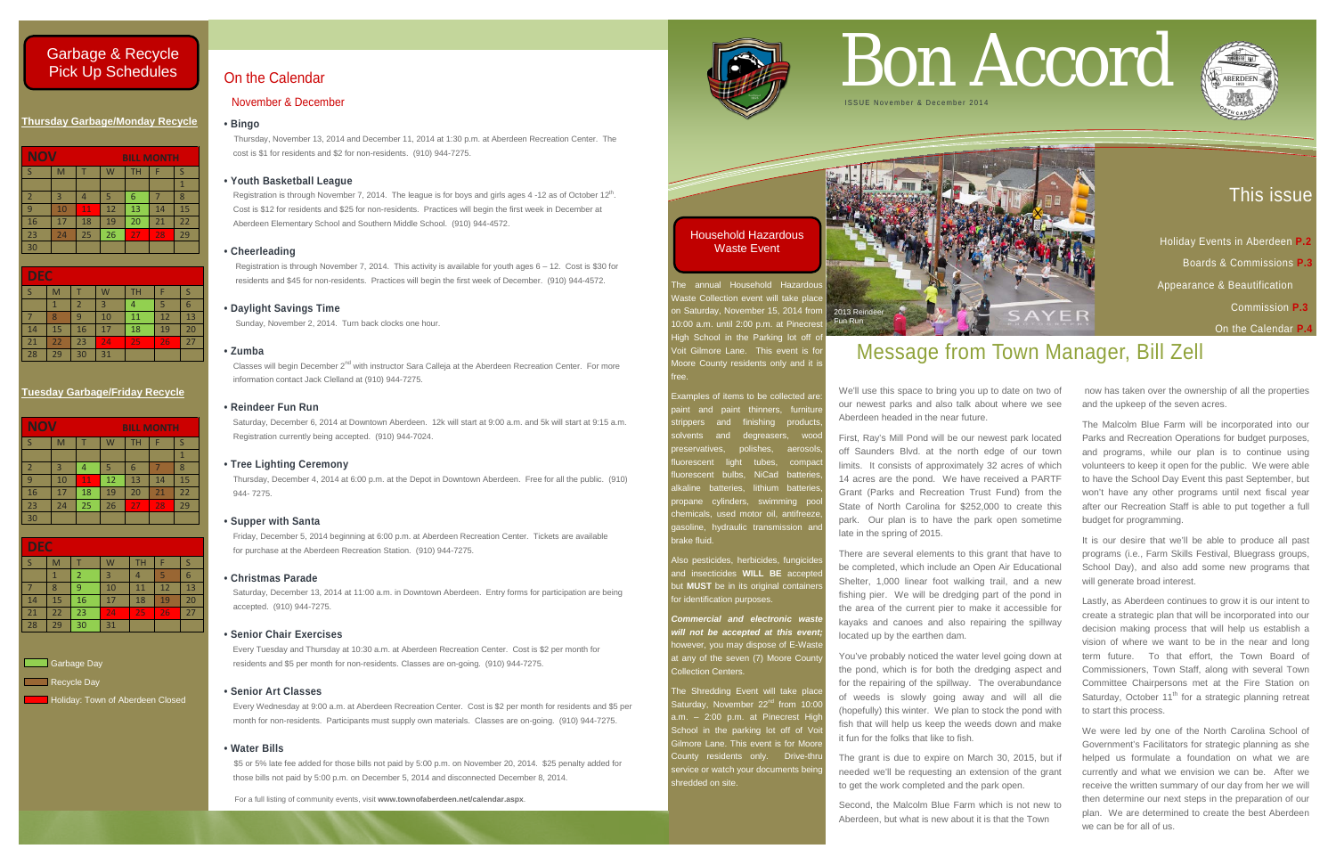### This issue

 Holiday Events in Aberdeen **P.2**  Boards & Commissions **P.3**  Appearance & Beautification Commission **P.3** On the Calendar **P.4**

### **Thursday Garbage/Monday Recycle**

| <b>NOV</b>     |    |    | <b>BILL MONTH</b> |           |    |    |
|----------------|----|----|-------------------|-----------|----|----|
| <sub>S</sub>   | M  |    | W                 | <b>TH</b> | F  | S  |
|                |    |    |                   |           |    |    |
| $\overline{2}$ | 3  |    | 5                 | 6         |    | 8  |
| 9              | 10 | 11 | 12                | 13        | 14 | 15 |
| 16             | 17 | 18 | 19                | 20        | 21 | 22 |
| 23             | 24 | 25 | 26                | 27        | 28 | 29 |
| 30             |    |    |                   |           |    |    |

| <b>DEC</b> |    |                |    |    |    |    |  |
|------------|----|----------------|----|----|----|----|--|
| S          | M  |                | W  | TН |    |    |  |
|            |    | $\overline{2}$ | 3  |    | 5  | 6  |  |
|            | 8  | 9              | 10 | 11 | 12 | 13 |  |
| 14         | 15 | 16             | 17 | 18 | 19 | 20 |  |
| 21         | 22 | 23             | 24 | 25 | 26 | 27 |  |
| 28         | 29 | 30             | 31 |    |    |    |  |

### **Tuesday Garbage/Friday Recycle**

| <b>NOV</b><br><b>BILL MONTH</b> |    |    |    |    |    |    |
|---------------------------------|----|----|----|----|----|----|
|                                 | M  |    | ١V | TН | F  |    |
|                                 |    |    |    |    |    |    |
| $\overline{2}$                  | 3  |    | 5  | 6  |    | 8  |
| 9                               | 10 | 11 | 12 | 13 | 14 | 15 |
| 16                              | 17 | 18 | 19 | 20 | 21 | 22 |
| 23                              | 24 | 25 | 26 | 27 | 28 | 29 |
| 30 <sub>2</sub>                 |    |    |    |    |    |    |

The annual Household Hazardou Waste Collection event will take place on Saturday, November 15, 2014 from 2013 Reindeer 0:00 a.m. until 2:00 p.m. at Pinecrest High School in the Parking lot off of oit Gilmore Lane. This event is fo Moore County residents only and it is free.

| <b>DEC</b> |    |    |    |           |    |    |
|------------|----|----|----|-----------|----|----|
|            | M  |    | W  | <b>TH</b> |    |    |
|            |    | 2  | 3  |           | 5  | 6  |
|            | 8  | q  | 10 | 11        | 12 | 13 |
| 14         | 15 | 16 | 17 | 18        | 19 | 20 |
| 21         | 22 | 23 | 24 | 25        | 26 | 27 |
| 28         | 29 | 30 | 31 |           |    |    |

Garbage Day

Recycle Day

Holiday: Town of Aberdeen Closed

**Examples of items to be collected are:** aint and paint thinners, furnitu trippers and finishing products and degreasers, wood preservatives, polishes, aerosols, iorescent light tubes, compact uorescent bulbs, NiCad batteries kaline batteries, lithium batteries opane cylinders, swimming poor hemicals, used motor oil, antifreeze aasoline. hydraulic transmission and brake fluid.

Also pesticides, herbicides, fungicides and insecticides **WILL BE** accepted but **MUST** be in its original containers for identification purposes.

The Shredding Event will take place aturday, November 22<sup>nd</sup> from 10:0 a.m.  $-$  2:00 p.m. at Pinecrest High School in the parking lot off of Vo **Gilmore Lane. This event is for Moor** County residents only. Drive-thr service or watch your documents being shredded on site.

Registration is through November 7, 2014. The league is for boys and girls ages 4 -12 as of October 12<sup>th</sup>. Cost is \$12 for residents and \$25 for non-residents. Practices will begin the first week in December at Aberdeen Elementary School and Southern Middle School. (910) 944-4572.

> *Commercial and electronic waste will not be accepted at this event;* owever, you may dispose of E-Wast at any of the seven (7) Moore Count Collection Centers.

Saturday, December 13, 2014 at 11:00 a.m. in Downtown Aberdeen. Entry forms for participation are being accepted. (910) 944-7275.

For a full listing of community events, visit **www.townofaberdeen.net/calendar.aspx**.



### On the Calendar

### November & December

### **• Bingo**

Thursday, November 13, 2014 and December 11, 2014 at 1:30 p.m. at Aberdeen Recreation Center. The cost is \$1 for residents and \$2 for non-residents. (910) 944-7275.

### **• Youth Basketball League**

### **• Cheerleading**

 Registration is through November 7, 2014. This activity is available for youth ages 6 – 12. Cost is \$30 for residents and \$45 for non-residents. Practices will begin the first week of December. (910) 944-4572.

### **• Daylight Savings Time**

Sunday, November 2, 2014. Turn back clocks one hour.

### **• Zumba**

Classes will begin December 2nd with instructor Sara Calleja at the Aberdeen Recreation Center. For more information contact Jack Clelland at (910) 944-7275.

### **• Reindeer Fun Run**

Saturday, December 6, 2014 at Downtown Aberdeen. 12k will start at 9:00 a.m. and 5k will start at 9:15 a.m. Registration currently being accepted. (910) 944-7024.

### **• Tree Lighting Ceremony**

Thursday, December 4, 2014 at 6:00 p.m. at the Depot in Downtown Aberdeen. Free for all the public. (910) 944- 7275.

### **• Supper with Santa**

Friday, December 5, 2014 beginning at 6:00 p.m. at Aberdeen Recreation Center. Tickets are available for purchase at the Aberdeen Recreation Station. (910) 944-7275.

### **• Christmas Parade**

### **• Senior Chair Exercises**

Every Tuesday and Thursday at 10:30 a.m. at Aberdeen Recreation Center. Cost is \$2 per month for residents and \$5 per month for non-residents. Classes are on-going. (910) 944-7275.

### **• Senior Art Classes**

 Every Wednesday at 9:00 a.m. at Aberdeen Recreation Center. Cost is \$2 per month for residents and \$5 per month for non-residents. Participants must supply own materials. Classes are on-going. (910) 944-7275.

### **• Water Bills**

\$5 or 5% late fee added for those bills not paid by 5:00 p.m. on November 20, 2014. \$25 penalty added for those bills not paid by 5:00 p.m. on December 5, 2014 and disconnected December 8, 2014.

# Bon Accord



## Message from Town Manager, Bill Zell

We'll use this space to bring you up to date on two of our newest parks and also talk about where we see Aberdeen headed in the near future.

First, Ray's Mill Pond will be our newest park located off Saunders Blvd. at the north edge of our town limits. It consists of approximately 32 acres of which 14 acres are the pond. We have received a PARTF Grant (Parks and Recreation Trust Fund) from the State of North Carolina for \$252,000 to create this park. Our plan is to have the park open sometime late in the spring of 2015.

There are several elements to this grant that have to be completed, which include an Open Air Educational Shelter, 1,000 linear foot walking trail, and a new fishing pier. We will be dredging part of the pond in the area of the current pier to make it accessible for kayaks and canoes and also repairing the spillway located up by the earthen dam.

You've probably noticed the water level going down at the pond, which is for both the dredging aspect and for the repairing of the spillway. The overabundance of weeds is slowly going away and will all die (hopefully) this winter. We plan to stock the pond with fish that will help us keep the weeds down and make it fun for the folks that like to fish.

The grant is due to expire on March 30, 2015, but if needed we'll be requesting an extension of the grant to get the work completed and the park open.

Second, the Malcolm Blue Farm which is not new to Aberdeen, but what is new about it is that the Town

now has taken over the ownership of all the properties and the upkeep of the seven acres.

The Malcolm Blue Farm will be incorporated into our Parks and Recreation Operations for budget purposes, and programs, while our plan is to continue using volunteers to keep it open for the public. We were able to have the School Day Event this past September, but won't have any other programs until next fiscal year after our Recreation Staff is able to put together a full budget for programming.

It is our desire that we'll be able to produce all past programs (i.e., Farm Skills Festival, Bluegrass groups, School Day), and also add some new programs that will generate broad interest.

Lastly, as Aberdeen continues to grow it is our intent to create a strategic plan that will be incorporated into our decision making process that will help us establish a vision of where we want to be in the near and long term future. To that effort, the Town Board of Commissioners, Town Staff, along with several Town Committee Chairpersons met at the Fire Station on Saturday, October 11<sup>th</sup> for a strategic planning retreat to start this process.

We were led by one of the North Carolina School of Government's Facilitators for strategic planning as she helped us formulate a foundation on what we are currently and what we envision we can be. After we receive the written summary of our day from her we will then determine our next steps in the preparation of our plan. We are determined to create the best Aberdeen we can be for all of us.



Household Hazardous Waste Event